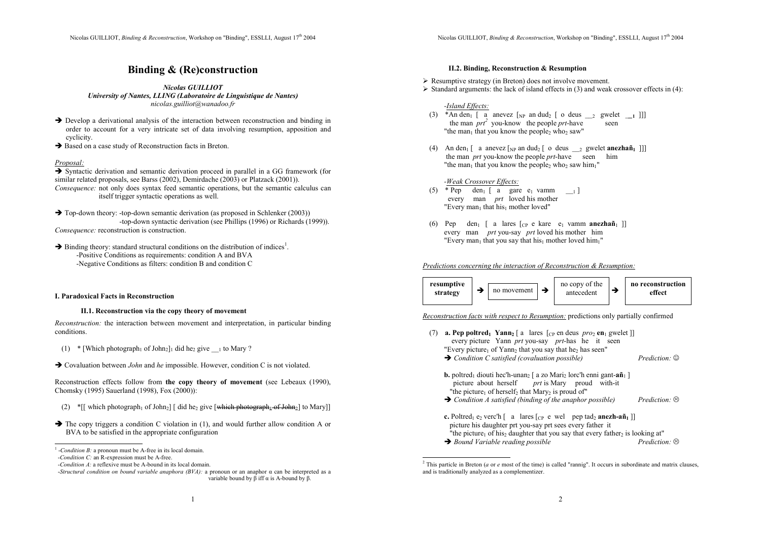## Binding & (Re)construction

Nicolas GUILLIOT University of Nantes, LLING (Laboratoire de Linguistique de Nantes) nicolas.guilliot@wanadoo.fr

- $\rightarrow$  Develop a derivational analysis of the interaction between reconstruction and binding in order to account for a very intricate set of data involving resumption, apposition and cyclicity.
- $\rightarrow$  Based on a case study of Reconstruction facts in Breton.

#### Proposal:

 Syntactic derivation and semantic derivation proceed in parallel in a GG framework (for similar related proposals, see Barss (2002), Demirdache (2003) or Platzack (2001)). Consequence: not only does syntax feed semantic operations, but the semantic calculus can itself trigger syntactic operations as well.

 $\rightarrow$  Top-down theory: -top-down semantic derivation (as proposed in Schlenker (2003)) -top-down syntactic derivation (see Phillips (1996) or Richards (1999)). Consequence: reconstruction is construction.

 $\rightarrow$  Binding theory: standard structural conditions on the distribution of indices<sup>1</sup>. -Positive Conditions as requirements: condition A and BVA -Negative Conditions as filters: condition B and condition C

#### I. Paradoxical Facts in Reconstruction

## II.1. Reconstruction via the copy theory of movement

Reconstruction: the interaction between movement and interpretation, in particular binding conditions.

- $(1)$  \* [Which photograph<sub>1</sub> of John<sub>2</sub>]<sub>1</sub> did he<sub>2</sub> give <sub>\_\_1</sub> to Mary ?
- $\rightarrow$  Covaluation between *John* and *he* impossible. However, condition C is not violated.

Reconstruction effects follow from the copy theory of movement (see Lebeaux (1990), Chomsky (1995) Sauerland (1998), Fox (2000)):

- (2)  $*[[$  which photograph<sub>1</sub> of John<sub>2</sub>] [ did he<sub>2</sub> give [which photograph<sub>4</sub> of John<sub>2</sub>] to Mary]]
- $\rightarrow$  The copy triggers a condition C violation in (1), and would further allow condition A or BVA to be satisfied in the appropriate configuration

## II.2. Binding, Reconstruction & Resumption

Resumptive strategy (in Breton) does not involve movement.

 $\triangleright$  Standard arguments: the lack of island effects in (3) and weak crossover effects in (4):

-Island Effects:

- (3) \*An den<sub>1</sub> [ a anevez  $\begin{bmatrix} N_P & 0 \end{bmatrix}$  an dud<sub>2</sub> [ o deus  $\begin{bmatrix} 2 & 0 \end{bmatrix}$  gwelet  $\begin{bmatrix} 1 & 1 \end{bmatrix}$ ] the man  $prt^2$  you-know the people prt-have seen "the man<sub>1</sub> that you know the people<sub>2</sub> who<sub>2</sub> saw"
- (4) An den<sub>1</sub> [ a anevez [<sub>NP</sub> an dud<sub>2</sub> [ o deus  $\begin{bmatrix} 2 \\ 2 \end{bmatrix}$  gwelet **anezhañ**<sub>1</sub> ]] the man *prt* you-know the people *prt*-have seen him "the man<sub>1</sub> that you know the people<sub>2</sub> who<sub>2</sub> saw him<sub>1</sub>"

## -Weak Crossover Effects:

- (5) \* Pep den<sub>1</sub> [ a gare e<sub>1</sub> vamm  $_{1}$ ] every man *prt* loved his mother "Every man<sub>1</sub> that his<sub>1</sub> mother loved"
- (6) Pep den<sub>1</sub> [ a lares  $[_{CP}$  e kare e<sub>1</sub> vamm **anezhañ**<sub>1</sub> ]] every man *prt* you-say *prt* loved his mother him "Every man<sub>1</sub> that you say that his<sub>1</sub> mother loved him<sub>1</sub>"

Predictions concerning the interaction of Reconstruction & Resumption:



Reconstruction facts with respect to Resumption: predictions only partially confirmed

- (7) **a. Pep poltred** Yann<sub>2</sub> [ a lares [ $_{CP}$  en deus  $proj$  en q gwelet ]] every picture Yann prt you-say prt-has he it seen "Every picture<sub>1</sub> of Yann<sub>2</sub> that you say that he<sub>2</sub> has seen"  $\rightarrow$  Condition C satisfied (covaluation possible) Prediction:  $\circledcirc$ **b.** poltred<sub>1</sub> diouti hec'h-unanz  $\lceil a \times a \times a \times a \cdot b \rceil$  lorc'h enni gant-añ $\lceil a \rceil$ picture about herself prt is Mary proud with-it "the picture<sub>1</sub> of herself<sub>2</sub> that Mary<sub>2</sub> is proud of"  $\rightarrow$  Condition A satisfied (binding of the anaphor possible) Prediction:  $\otimes$
- **c.** Poltred<sub>1</sub> e<sub>2</sub> verc'h [ a lares  $[$ <sub>CP</sub> e wel pep tad<sub>2</sub> anezh-añ<sub>1</sub> ]] picture his daughter prt you-say prt sees every father it "the picture<sub>1</sub> of his<sub>2</sub> daughter that you say that every father<sub>2</sub> is looking at" Prediction:  $\odot$  $\rightarrow$  Bound Variable reading possible  $\rightarrow$  Prediction:  $\otimes$

 $<sup>1</sup>$ -Condition B: a pronoun must be A-free in its local domain.</sup>

-Condition C: an R-expression must be A-free.

 -Condition A: a reflexive must be A-bound in its local domain.

<sup>-</sup>Structural condition on bound variable anaphora  $(BVA)$ : a pronoun or an anaphor  $\alpha$  can be interpreted as a variable bound by β iff α is A-bound by β.

<sup>&</sup>lt;sup>2</sup> This particle in Breton (*a* or *e* most of the time) is called "rannig". It occurs in subordinate and matrix clauses, and is traditionally analyzed as a complementizer.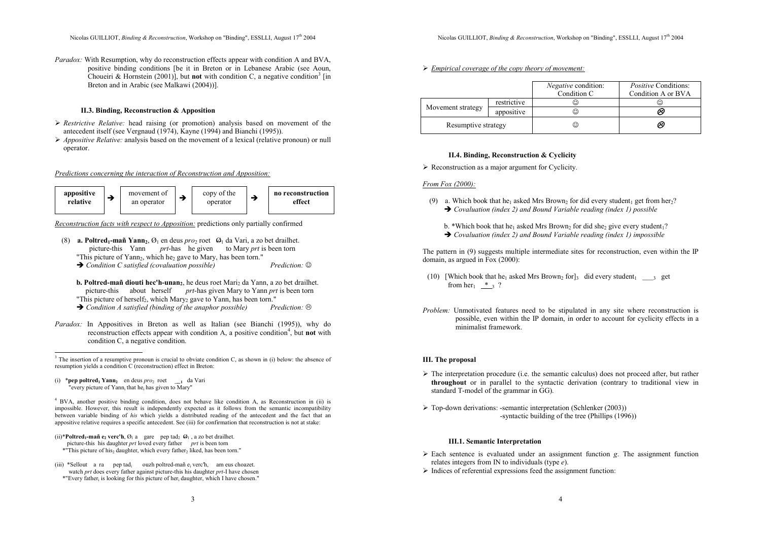Paradox: With Resumption, why do reconstruction effects appear with condition A and BVA, positive binding conditions [be it in Breton or in Lebanese Arabic (see Aoun, Choueiri & Hornstein (2001)], but not with condition C, a negative condition<sup>3</sup> [in Breton and in Arabic (see Malkawi (2004))].

#### II.3. Binding, Reconstruction & Apposition

- Restrictive Relative: head raising (or promotion) analysis based on movement of the extendent itself (see Margaret) (1924).  $V_{\text{sum}}(1004)$  and Dispabil (1996). antecedent itself (see Vergnaud (1974), Kayne (1994) and Bianchi (1995)).
- $\triangleright$  Appositive Relative: analysis based on the movement of a lexical (relative pronoun) or null property. operator.

#### Predictions concerning the interaction of Reconstruction and Apposition:



Reconstruction facts with respect to Apposition: predictions only partially confirmed

- (8) **a. Poltred<sub>1</sub>-mañ Yann**<sub>2</sub>,  $\mathcal{O}_1$  en deus *pro*<sub>2</sub> roet  $\Theta_1$  da Vari, a zo bet drailhet. picture-this Yann *prt*-has he given to Mary *prt* is been torn "This picture of  $Yann_2$ , which he<sub>2</sub> gave to Mary, has been torn."
	- $\rightarrow$  Condition C satisfied (covaluation possible) Prediction:  $\circledcirc$
	- b. Poltred-mañ diouti hec'h-unan<sub>2</sub>, he deus roet Mari<sub>2</sub> da Yann, a zo bet drailhet. picture-this about herself prt-has given Mary to Yann prt is been torn "This picture of herself<sub>2</sub>, which Mary<sub>2</sub> gave to Yann, has been torn."
	- $Prediction:$  $\rightarrow$  Condition A satisfied (binding of the anaphor possible) Prediction:  $\otimes$
- Paradox: In Appositives in Breton as well as Italian (see Bianchi (1995)), why do reconstruction effects appear with condition A, a positive condition<sup>4</sup>, but not with condition C, a negative condition.

<sup>4</sup> BVA, another positive binding condition, does not behave like condition A, as Reconstruction in (ii) is impossible. However, this result is independently expected as it follows from the semantic incompatibility between variable binding of his which yields a distributed reading of the antecedent and the fact that an appositive relative requires a specific antecedent. See (iii) for confirmation that reconstruction is not at stake:

- (ii)\***Poltred<sub>1</sub>-mañ e<sub>2</sub> verc'h**,  $\varnothing_1$  a gare pep tad<sub>2</sub>  $\varnothing_1$ , a zo bet drailhet. picture-this his daughter  $prt$  loved every father prt is been torn \*"This picture of his<sub>2</sub> daughter, which every father<sub>2</sub> liked, has been torn."
- (iii) \*Sellout a ra pep tad<sub>i</sub> ouzh poltred-mañ e<sub>i</sub> verc'h, am eus choazet. watch prt does every father against picture-this his daughter prt-I have chosen \*"Every father<sub>i</sub> is looking for this picture of her<sub>i</sub> daughter, which I have chosen."

► Empirical coverage of the copy theory of movement:

|                     |             | <i>Negative</i> condition:<br>Condition C | <i>Positive</i> Conditions:<br>Condition A or BVA |
|---------------------|-------------|-------------------------------------------|---------------------------------------------------|
| Movement strategy   | restrictive | ⊙                                         | $\rm ^{(c)}$                                      |
|                     | appositive  | ⊙                                         | 6                                                 |
| Resumptive strategy |             | ☺                                         | ⊗                                                 |

## II.4. Binding, Reconstruction & Cyclicity

 $\triangleright$  Reconstruction as a major argument for Cyclicity.

## From Fox (2000):

- (9) a. Which book that he<sub>1</sub> asked Mrs Brown<sub>2</sub> for did every student<sub>1</sub> get from her<sub>2</sub>?  $\rightarrow$  Covaluation (index 2) and Bound Variable reading (index 1) possible
	- b. \*Which book that he<sub>1</sub> asked Mrs Brown<sub>2</sub> for did she<sub>2</sub> give every student<sub>1</sub>?
	- $\rightarrow$  Covaluation (index 2) and Bound Variable reading (index 1) impossible

The pattern in (9) suggests multiple intermediate sites for reconstruction, even within the IP domain, as argued in Fox (2000):

- (10) [Which book that he<sub>1</sub> asked Mrs Brown<sub>2</sub> for]<sub>3</sub> did every student<sub>1</sub> \_\_\_<sub>3</sub> get from her<sub>1</sub>  $*$  3 ?
- Problem: Unmotivated features need to be stipulated in any site where reconstruction is possible, even within the IP domain, in order to account for cyclicity effects in a minimalist framework.

#### III. The proposal

- $\triangleright$  The interpretation procedure (i.e. the semantic calculus) does not proceed after, but rather throughout or in parallel to the syntextic derivation (contrary to traditional view in throughout or in parallel to the syntactic derivation (contrary to traditional view in standard T-model of the grammar in GG).
- > Top-down derivations: -semantic interpretation (Schlenker (2003)) -syntactic building of the tree (Phillips (1996))

#### III.1. Semantic Interpretation

- Each sentence is evaluated under an assignment function g. The assignment function relates integers from  $N_i$  to individuals (time  $\alpha$ ) relates integers from IN to individuals (type e).
- $\blacktriangleright$  Indices of referential expressions feed the assignment function:

<sup>&</sup>lt;sup>3</sup> The insertion of a resumptive pronoun is crucial to obviate condition C, as shown in (i) below: the absence of resumption yields a condition C (reconstruction) effect in Breton:

<sup>(</sup>i) \***pep poltred**<sub>1</sub> Yann<sub>2</sub> en deus *pro*<sub>2</sub> roet \_\_1 da Vari "every picture of Yanni that hei has given to Mary"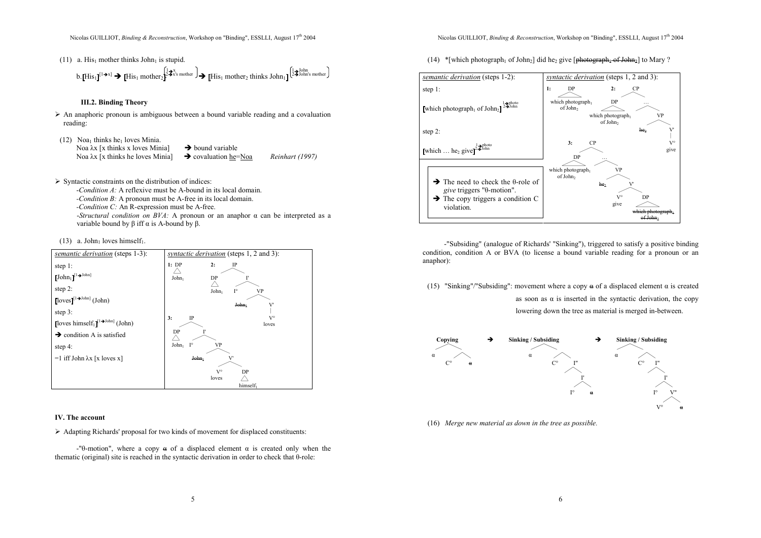(11) a. His<sub>1</sub> mother thinks John<sub>1</sub> is stupid.

b. [His<sub>1</sub>]<sup>[1<sub>→x]</sub>  $\rightarrow$  [His<sub>1</sub> mother<sub>2</sub>]<sup>2</sup> <sup>3x's mother</sup>  $\rightarrow$  [His<sub>1</sub> mother<sub>2</sub> thinks John<sub>1</sub>]<sup>[1</sup>/<sub>2</sub>]<sup>10hn</sup>'s mother<sub>1</sub></sup>

## III.2. Binding Theory

- $\triangleright$  An anaphoric pronoun is ambiguous between a bound variable reading and a covaluation reading: reading:
- $(12)$  Noa<sub>1</sub> thinks he<sub>1</sub> loves Minia. Noa λx [x thinks x loves Minia]  $\rightarrow$  bound variable  $\rightarrow$  covaluation he=Noa  $N$ oa λx [x thinks he loves Minia] Reinhart (1997)
- $\triangleright$  Syntactic constraints on the distribution of indices:<br>Condition 4: A reflective must be A hound in

 -Condition A: A reflexive must be A-bound in its local domain. -Condition B: A pronoun must be A-free in its local domain. -Condition C: An R-expression must be A-free. -Structural condition on  $BVA$ : A pronoun or an anaphor  $\alpha$  can be interpreted as a variable bound by β iff α is A-bound by β.

(13) a. John<sub>1</sub> loves himself<sub>1</sub>.

| <i>semantic derivation</i> (steps 1-3):                           | <i>syntactic derivation</i> (steps 1, 2 and 3): |
|-------------------------------------------------------------------|-------------------------------------------------|
| step $1$ :                                                        | 1:DP<br>2:<br>IP                                |
| $[\![\mathrm{John}_1]\!]^{[1\blacktriangleright\mathrm{John}]}$   | John <sub>1</sub><br>DP<br>г                    |
| step $2$ :                                                        | $I^{\circ}$<br>John <sub>1</sub><br>VP          |
| $\lceil \text{loves} \rceil^{[1 \rightarrow \text{John}]}$ (John) | John,<br>V'                                     |
| step 3:                                                           |                                                 |
| [loves himself <sub>1</sub> ] <sup>[1→John]</sup> (John)          | $V^{\circ}$<br>3:<br>$_{\rm IP}$<br>loves       |
| $\rightarrow$ condition A is satisfied                            | DP                                              |
| step $4$ :                                                        | $I^{\circ}$<br>John <sub>1</sub><br>VP          |
| $=1$ iff John $\lambda x$ [x loves x]                             | John <sub>1</sub><br>V                          |
|                                                                   | $V^{\circ}$<br>DP                               |
|                                                                   | loves                                           |
|                                                                   | himself <sub>1</sub>                            |

#### IV. The account

- Adapting Richards' proposal for two kinds of movement for displaced constituents:

-"θ-motion", where a copy  $\theta$  of a displaced element  $\alpha$  is created only when the thematic (original) site is reached in the syntactic derivation in order to check that θ-role:

(14) \*[which photograph<sub>1</sub> of John<sub>2</sub>] did he<sub>2</sub> give [<del>photograph<sub>1</sub> of John<sub>2</sub>]</del> to Mary ?



 -"Subsiding" (analogue of Richards' "Sinking"), triggered to satisfy a positive binding condition, condition A or BVA (to license a bound variable reading for a pronoun or an anaphor):

(15) "Sinking"/"Subsiding": movement where a copy  $\alpha$  of a displaced element  $\alpha$  is created as soon as  $\alpha$  is inserted in the syntactic derivation, the copy lowering down the tree as material is merged in-between.



(16) Merge new material as down in the tree as possible.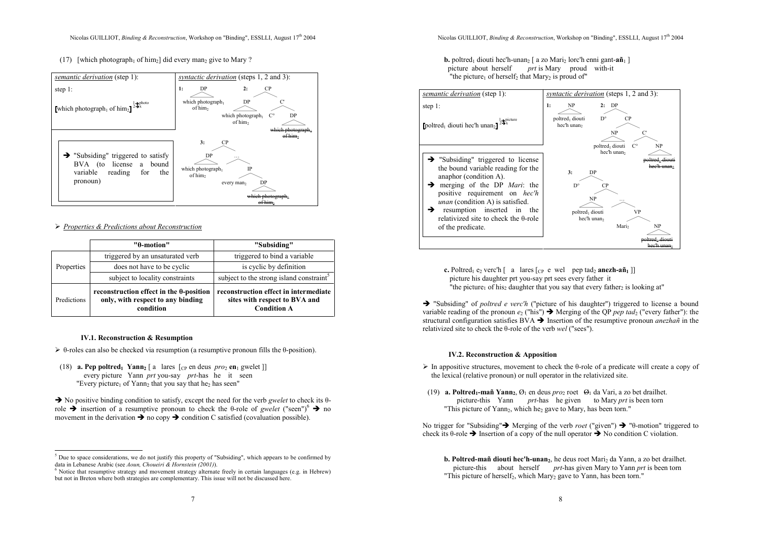(17) [which photograph<sub>1</sub> of him<sub>2</sub>] did every man<sub>2</sub> give to Mary ?



# ▶ Properties & Predictions about Reconstruction

|             | "θ-motion"                                                                                        | "Subsiding"                                                                                  |  |  |
|-------------|---------------------------------------------------------------------------------------------------|----------------------------------------------------------------------------------------------|--|--|
| Properties  | triggered by an unsaturated verb                                                                  | triggered to bind a variable                                                                 |  |  |
|             | does not have to be cyclic                                                                        | is cyclic by definition                                                                      |  |  |
|             | subject to locality constraints                                                                   | subject to the strong island constraint <sup>5</sup>                                         |  |  |
| Predictions | reconstruction effect in the $\theta$ -position<br>only, with respect to any binding<br>condition | reconstruction effect in intermediate<br>sites with respect to BVA and<br><b>Condition A</b> |  |  |

## IV.1. Reconstruction & Resumption

- $\triangleright$   $\theta$ -roles can also be checked via resumption (a resumptive pronoun fills the  $\theta$ -position).
- (18) **a. Pep poltred**<sub>1</sub> **Yann**<sub>2</sub> [ a lares  $[_{CP}$  en deus  $pro_2$  en<sub>1</sub> gwelet ]] every picture Yann prt you-say prt-has he it seen "Every picture<sub>1</sub> of Yann<sub>2</sub> that you say that he<sub>2</sub> has seen"

 $\rightarrow$  No positive binding condition to satisfy, except the need for the verb gwelet to check its  $\theta$ role  $\rightarrow$  insertion of a resumptive pronoun to check the θ-role of gwelet ("seen")<sup>6</sup>  $\rightarrow$  no movement in the derivation  $\rightarrow$  no copy  $\rightarrow$  condition C satisfied (covaluation possible).

## **b.** poltred<sub>1</sub> diouti hec'h-unan<sub>2</sub> [ a zo Mari<sub>2</sub> lorc'h enni gant-añ<sub>1</sub> ] picture about herself prt is Mary proud with-it "the picture<sub>1</sub> of herself<sub>2</sub> that Mary<sub>2</sub> is proud of"



**c.** Poltred<sub>1</sub> e<sub>2</sub> verc'h [ a lares  $[$ c e wel pep tad<sub>2</sub> anezh-añ<sub>1</sub> ]] picture his daughter prt you-say prt sees every father it "the picture<sub>1</sub> of his<sub>2</sub> daughter that you say that every father<sub>2</sub> is looking at"

 $\rightarrow$  "Subsiding" of *poltred e verc'h* ("picture of his daughter") triggered to license a bound variable reading of the pronoun  $e_2$  ("his")  $\rightarrow$  Merging of the QP *pep tad*<sub>2</sub> ("every father"): the structural configuration satisfies  $BVA \rightarrow$  Insertion of the resumptive pronoun *anezhañ* in the relativized site to check the θ-role of the verb wel ("sees").

## IV.2. Reconstruction & Apposition

- $\triangleright$  In appositive structures, movement to check the θ-role of a predicate will create a copy of the laying colotive property or pull energies in the relativistic the lexical (relative pronoun) or null operator in the relativized site.
- (19) **a. Poltred<sub>1</sub>-mañ Yann**<sub>2</sub>,  $\mathcal{O}_1$  en deus *pro*<sub>2</sub> roet  $\mathcal{O}_1$  da Vari, a zo bet drailhet. picture-this Yann *prt*-has he given to Mary *prt* is been torn "This picture of Yann<sub>2</sub>, which he<sub>2</sub> gave to Mary, has been torn."

No trigger for "Subsiding"  $\rightarrow$  Merging of the verb *roet* ("given")  $\rightarrow$  " $\theta$ -motion" triggered to check its  $\theta$ -role  $\rightarrow$  Insertion of a copy of the null operator  $\rightarrow$  No condition C violation.

b. Poltred-mañ diouti hec'h-unan, he deus roet Mari<sub>2</sub> da Yann, a zo bet drailhet. picture-this about herself prt-has given Mary to Yann prt is been torn "This picture of herself<sub>2</sub>, which Mary<sub>2</sub> gave to Yann, has been torn."

 $<sup>5</sup>$  Due to space considerations, we do not justify this property of "Subsiding", which appears to be confirmed by</sup> data in Lebanese Arabic (see Aoun, Choueiri & Hornstein (2001)).

<sup>&</sup>lt;sup>6</sup> Notice that resumptive strategy and movement strategy alternate freely in certain languages (e.g. in Hebrew) but not in Breton where both strategies are complementary. This issue will not be discussed here.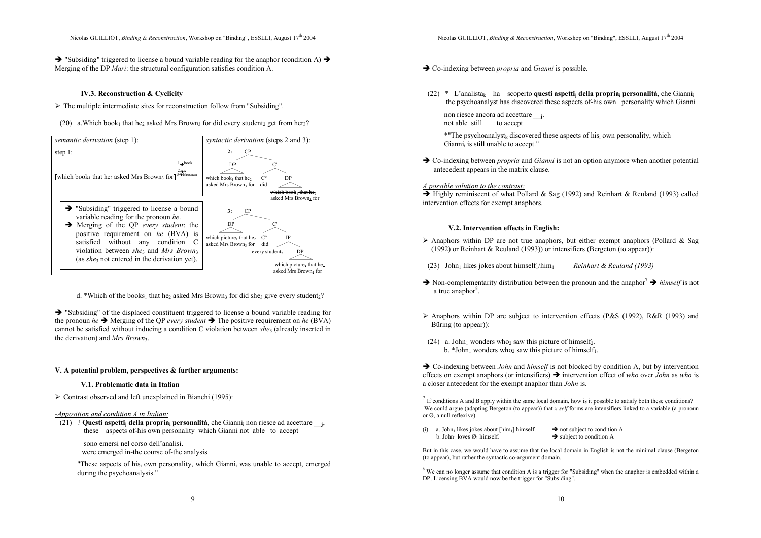Nicolas GUILLIOT, Binding & Reconstruction, Workshop on "Binding", ESSLLI, August  $17<sup>th</sup> 2004$ 

 $\rightarrow$  "Subsiding" triggered to license a bound variable reading for the anaphor (condition A)  $\rightarrow$ Merging of the DP Mari: the structural configuration satisfies condition A.

#### IV.3. Reconstruction & Cyclicity

- The multiple intermediate sites for reconstruction follow from "Subsiding".
- (20) a. Which book<sub>1</sub> that he<sub>2</sub> asked Mrs Brown<sub>3</sub> for did every student<sub>2</sub> get from her<sub>3</sub>?



d. \*Which of the books<sub>1</sub> that he<sub>2</sub> asked Mrs Brown<sub>3</sub> for did she<sub>3</sub> give every student<sub>2</sub>?

 $\rightarrow$  "Subsiding" of the displaced constituent triggered to license a bound variable reading for the pronoun he  $\rightarrow$  Merging of the QP every student  $\rightarrow$  The positive requirement on he (BVA) cannot be satisfied without inducing a condition C violation between shea (already inserted in the derivation) and  $Mrs$  Brown<sub>3</sub>.

#### V. A potential problem, perspectives & further arguments:

#### V.1. Problematic data in Italian

▶ Contrast observed and left unexplained in Bianchi (1995):

#### -Apposition and condition A in Italian:

(21) ? Questi aspetti<sub>j</sub> della propria<sub>i</sub> personalità, che Gianni<sub>i</sub> non riesce ad accettare <sub>----</sub> these aspects of-his own personality which Gianni not able to accept

sono emersi nel corso dell'analisi.

were emerged in-the course of-the analysis

"These aspects of his<sub>i</sub> own personality, which Gianni<sub>i</sub> was unable to accept, emerged during the psychoanalysis."

- $\rightarrow$  Co-indexing between *propria* and *Gianni* is possible.
- (22) \* L'analista<sub>k</sub> ha scoperto **questi aspetti<sub>j</sub> della propria<sub>i</sub> personalità**, che Gianni<sub>i</sub> the psychoanalyst has discovered these aspects of-his own personality which Gianni

non riesce ancora ad accettare <sub>\_\_\_\_\_</sub>. not able still to accept

> \*"The psychoanalyst<sub>k</sub> discovered these aspects of his<sub>i</sub> own personality, which Gianni<sub>i</sub> is still unable to accept."

 $\rightarrow$  Co-indexing between *propria* and *Gianni* is not an option anymore when another potential antecedent appears in the matrix clause.

#### A possible solution to the contrast:

 $\rightarrow$  Highly reminiscent of what Pollard & Sag (1992) and Reinhart & Reuland (1993) called intervention effects for exempt anaphors.

## V.2. Intervention effects in English:

- Anaphors within DP are not true anaphors, but either exempt anaphors (Pollard & Sag (1002) as Deithert & Paulard (1002)) as intensifiers (Paulard (to exerce)). (1992) or Reinhart & Reuland (1993)) or intensifiers (Bergeton (to appear)):
- (23) John<sub>1</sub> likes jokes about himself<sub>1</sub>/him<sub>1</sub> Reinhart & Reuland (1993)
- Non-complementarity distribution between the pronoun and the anaphor<sup>7</sup>  $\rightarrow$  himself is not a true anaphor<sup>8</sup>  $a$  true anaphor $8$ .
- Anaphors within DP are subject to intervention effects (P&S (1992), R&R (1993) and  $\sum_{n=1}^{\infty}$ Büring (to appear)):
- (24) a. John<sub>1</sub> wonders who<sub>2</sub> saw this picture of himself<sub>2</sub>. b. \*John<sub>1</sub> wonders who<sub>2</sub> saw this picture of himself<sub>1</sub>.

 $\rightarrow$  Co-indexing between *John* and *himself* is not blocked by condition A, but by intervention effects on exempt anaphors (or intensifiers)  $\rightarrow$  intervention effect of who over John as who is a closer antecedent for the exempt anaphor than John is.

(i) a. John<sub>1</sub> likes jokes about  $[\text{him}_1]$  himself.  $\rightarrow$  not subject to condition A b John<sub>1</sub> loves  $\emptyset$ , himself b. John loves  $\varnothing_1$  himself.

But in this case, we would have to assume that the local domain in English is not the minimal clause (Bergeton (to appear), but rather the syntactic co-argument domain.

<sup>8</sup> We can no longer assume that condition A is a trigger for "Subsiding" when the anaphor is embedded within a DP. Licensing BVA would now be the trigger for "Subsiding".

 $<sup>7</sup>$  If conditions A and B apply within the same local domain, how is it possible to satisfy both these conditions?</sup> We could argue (adapting Bergeton (to appear)) that x-self forms are intensifiers linked to a variable (a pronoun or Ø, a null reflexive).